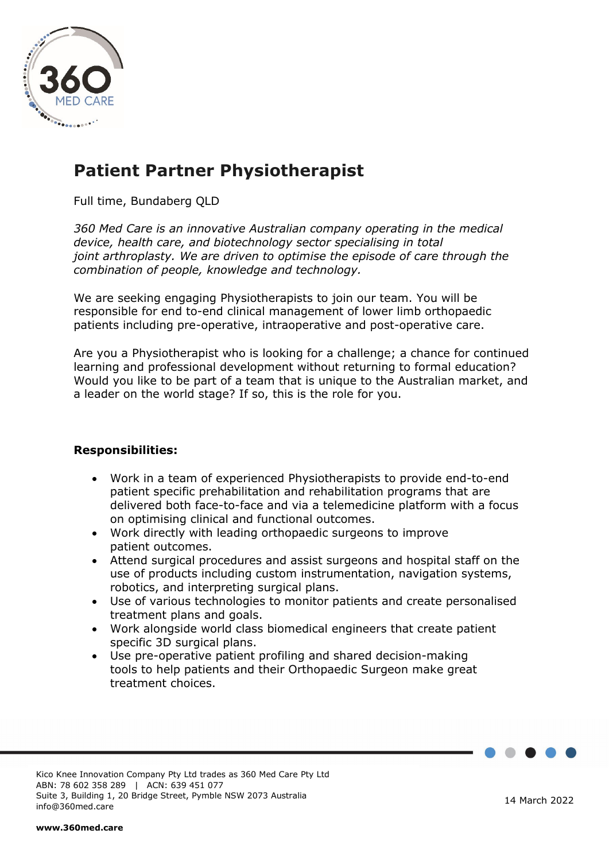

# **Patient Partner Physiotherapist**

Full time, Bundaberg QLD

*360 Med Care is an innovative Australian company operating in the medical device, health care, and biotechnology sector specialising in total joint arthroplasty. We are driven to optimise the episode of care through the combination of people, knowledge and technology.*

We are seeking engaging Physiotherapists to join our team. You will be responsible for end to-end clinical management of lower limb orthopaedic patients including pre-operative, intraoperative and post-operative care.

Are you a Physiotherapist who is looking for a challenge; a chance for continued learning and professional development without returning to formal education? Would you like to be part of a team that is unique to the Australian market, and a leader on the world stage? If so, this is the role for you.

# **Responsibilities:**

- Work in a team of experienced Physiotherapists to provide end-to-end patient specific prehabilitation and rehabilitation programs that are delivered both face-to-face and via a telemedicine platform with a focus on optimising clinical and functional outcomes.
- Work directly with leading orthopaedic surgeons to improve patient outcomes.
- Attend surgical procedures and assist surgeons and hospital staff on the use of products including custom instrumentation, navigation systems, robotics, and interpreting surgical plans.
- Use of various technologies to monitor patients and create personalised treatment plans and goals.
- Work alongside world class biomedical engineers that create patient specific 3D surgical plans.
- Use pre-operative patient profiling and shared decision-making tools to help patients and their Orthopaedic Surgeon make great treatment choices.